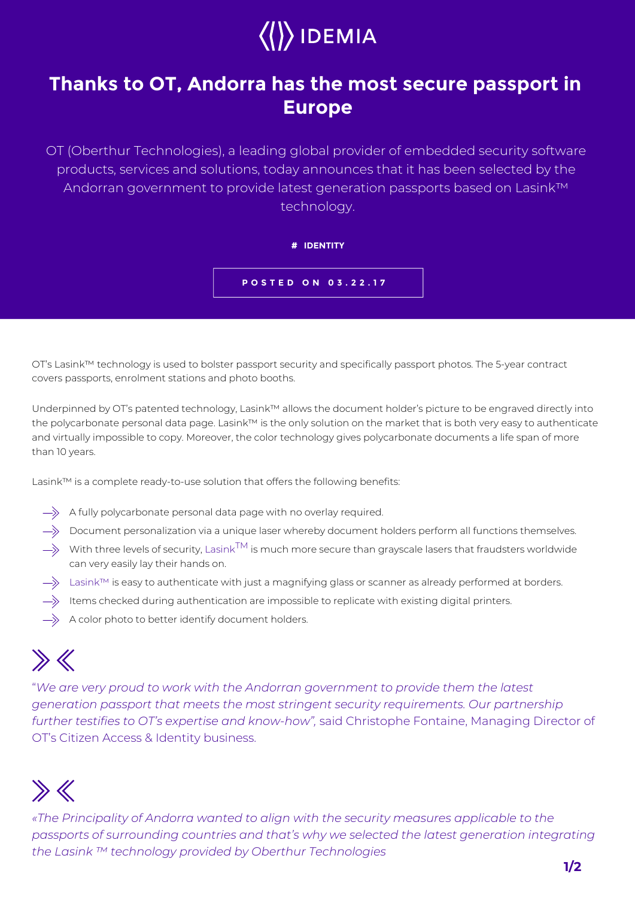

## **Thanks to OT, Andorra has the most secure passport in Europe**

OT (Oberthur Technologies), a leading global provider of embedded security software products, services and solutions, today announces that it has been selected by the Andorran government to provide latest generation passports based on Lasink™ technology.

**# IDENTITY**



OT's Lasink™ technology is used to bolster passport security and specifically passport photos. The 5-year contract covers passports, enrolment stations and photo booths.

Underpinned by OT's patented technology, Lasink™ allows the document holder's picture to be engraved directly into the polycarbonate personal data page. Lasink™ is the only solution on the market that is both very easy to authenticate and virtually impossible to copy. Moreover, the color technology gives polycarbonate documents a life span of more than 10 years.

Lasink™ is a complete ready-to-use solution that offers the following benefits:

- $\Rightarrow$  A fully polycarbonate personal data page with no overlay required.
- $\Rightarrow$  Document personalization via a unique laser whereby document holders perform all functions themselves.
- $\Rightarrow$  With three levels of security, Lasink<sup>TM</sup> is much more secure than grayscale lasers that fraudsters worldwide can very easily lay their hands on.
- $\rightarrow$  Lasink™ is easy to authenticate with just a magnifying glass or scanner as already performed at borders.
- $\Rightarrow$  Items checked during authentication are impossible to replicate with existing digital printers.
- $\Rightarrow$  A color photo to better identify document holders.

## $\gg K$

"*We are very proud to work with the Andorran government to provide them the latest generation passport that meets the most stringent security requirements. Our partnership further testifies to OT's expertise and know-how",* said Christophe Fontaine, Managing Director of OT's Citizen Access & Identity business.

## $\gg K$

*«The Principality of Andorra wanted to align with the security measures applicable to the passports of surrounding countries and that's why we selected the latest generation integrating the Lasink ™ technology provided by Oberthur Technologies*